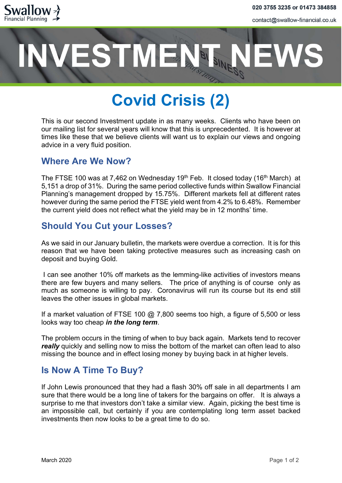

contact@swallow-financial.co.uk

# **VESTMENT**

# Covid Crisis (2)

This is our second Investment update in as many weeks. Clients who have been on our mailing list for several years will know that this is unprecedented. It is however at times like these that we believe clients will want us to explain our views and ongoing advice in a very fluid position.

#### Where Are We Now?

The FTSE 100 was at 7,462 on Wednesday 19<sup>th</sup> Feb. It closed today (16<sup>th</sup> March) at 5,151 a drop of 31%. During the same period collective funds within Swallow Financial Planning's management dropped by 15.75%. Different markets fell at different rates however during the same period the FTSE yield went from 4.2% to 6.48%. Remember the current yield does not reflect what the yield may be in 12 months' time.

## Should You Cut your Losses?

As we said in our January bulletin, the markets were overdue a correction. It is for this reason that we have been taking protective measures such as increasing cash on deposit and buying Gold.

 I can see another 10% off markets as the lemming-like activities of investors means there are few buyers and many sellers. The price of anything is of course only as much as someone is willing to pay. Coronavirus will run its course but its end still leaves the other issues in global markets.

If a market valuation of FTSE 100  $@$  7,800 seems too high, a figure of 5,500 or less looks way too cheap in the long term.

The problem occurs in the timing of when to buy back again. Markets tend to recover really quickly and selling now to miss the bottom of the market can often lead to also missing the bounce and in effect losing money by buying back in at higher levels.

### Is Now A Time To Buy?

If John Lewis pronounced that they had a flash 30% off sale in all departments I am sure that there would be a long line of takers for the bargains on offer. It is always a surprise to me that investors don't take a similar view. Again, picking the best time is an impossible call, but certainly if you are contemplating long term asset backed investments then now looks to be a great time to do so.